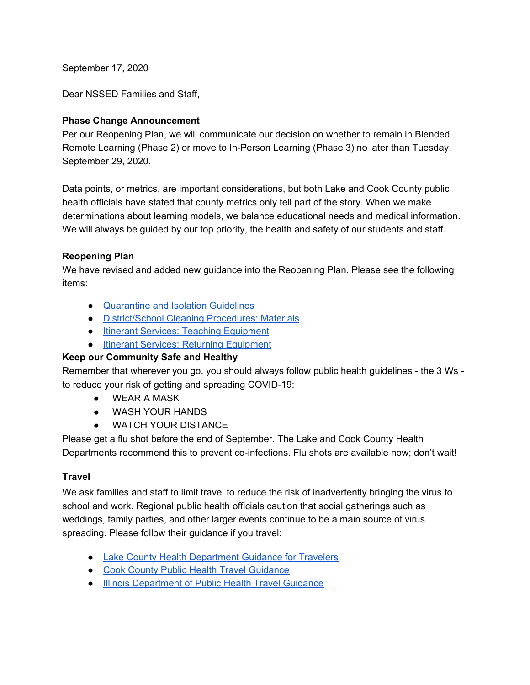September 17, 2020

Dear NSSED Families and Staff,

#### **Phase Change Announcement**

Per our Reopening Plan, we will communicate our decision on whether to remain in Blended Remote Learning (Phase 2) or move to In-Person Learning (Phase 3) no later than Tuesday, September 29, 2020.

Data points, or metrics, are important considerations, but both Lake and Cook County public health officials have stated that county metrics only tell part of the story. When we make determinations about learning models, we balance educational needs and medical information. We will always be quided by our top priority, the health and safety of our students and staff.

# **Reopening Plan**

We have revised and added new guidance into the Reopening Plan. Please see the following items:

- [Quarantine](https://docs.google.com/document/d/1fSOHV3Ld9J0ByBo7kV4N7W9WHFpFBQBibNOo2wILNcw/edit#heading=h.avqrpbkr38dt) and Isolation Guidelines
- [District/School](https://docs.google.com/document/d/1fSOHV3Ld9J0ByBo7kV4N7W9WHFpFBQBibNOo2wILNcw/edit#heading=h.7gx63s7w8hp) Cleaning Procedures: Materials
- Itinerant Services: Teaching [Equipment](https://docs.google.com/document/d/1fSOHV3Ld9J0ByBo7kV4N7W9WHFpFBQBibNOo2wILNcw/edit#heading=h.57dmb96k92t3)
- Itinerant Services: Returning [Equipment](https://docs.google.com/document/d/1fSOHV3Ld9J0ByBo7kV4N7W9WHFpFBQBibNOo2wILNcw/edit#heading=h.57dmb96k92t3)

# **Keep our Community Safe and Healthy**

Remember that wherever you go, you should always follow public health guidelines - the 3 Ws to reduce your risk of getting and spreading COVID-19:

- WEAR A MASK
- WASH YOUR HANDS
- WATCH YOUR DISTANCE

Please get a flu shot before the end of September. The Lake and Cook County Health Departments recommend this to prevent co-infections. Flu shots are available now; don't wait!

# **Travel**

We ask families and staff to limit travel to reduce the risk of inadvertently bringing the virus to school and work. Regional public health officials caution that social gatherings such as weddings, family parties, and other larger events continue to be a main source of virus spreading. Please follow their guidance if you travel:

- Lake County Health [Department](https://www.lakecountyil.gov/4412/Community-Guidance-and-Resources#travelers) Guidance for Travelers
- Cook County Public Health Travel [Guidance](https://cookcountypublichealth.org/communicable-diseases/covid-19/covid-19-travel-guidance/)
- Illinois [Department](https://www.dph.illinois.gov/topics-services/diseases-and-conditions/diseases-a-z-list/coronavirus/travel-guidance) of Public Health Travel Guidance